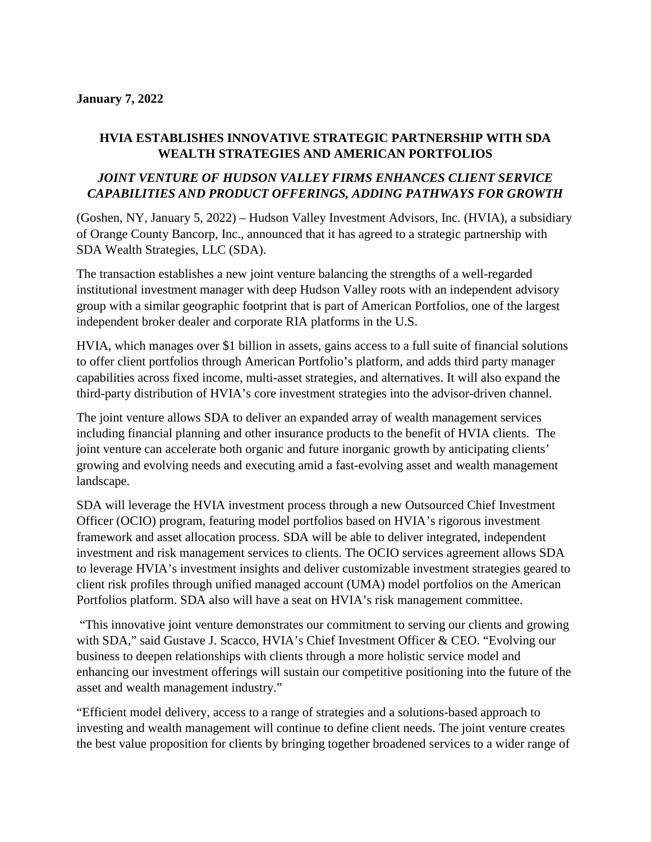### **January 7, 2022**

## **HVIA ESTABLISHES INNOVATIVE STRATEGIC PARTNERSHIP WITH SDA WEALTH STRATEGIES AND AMERICAN PORTFOLIOS**

# *JOINT VENTURE OF HUDSON VALLEY FIRMS ENHANCES CLIENT SERVICE CAPABILITIES AND PRODUCT OFFERINGS, ADDING PATHWAYS FOR GROWTH*

(Goshen, NY, January 5, 2022) – Hudson Valley Investment Advisors, Inc. (HVIA), a subsidiary of Orange County Bancorp, Inc., announced that it has agreed to a strategic partnership with SDA Wealth Strategies, LLC (SDA).

The transaction establishes a new joint venture balancing the strengths of a well-regarded institutional investment manager with deep Hudson Valley roots with an independent advisory group with a similar geographic footprint that is part of American Portfolios, one of the largest independent broker dealer and corporate RIA platforms in the U.S.

HVIA, which manages over \$1 billion in assets, gains access to a full suite of financial solutions to offer client portfolios through American Portfolio's platform, and adds third party manager capabilities across fixed income, multi-asset strategies, and alternatives. It will also expand the third-party distribution of HVIA's core investment strategies into the advisor-driven channel.

The joint venture allows SDA to deliver an expanded array of wealth management services including financial planning and other insurance products to the benefit of HVIA clients. The joint venture can accelerate both organic and future inorganic growth by anticipating clients' growing and evolving needs and executing amid a fast-evolving asset and wealth management landscape.

SDA will leverage the HVIA investment process through a new Outsourced Chief Investment Officer (OCIO) program, featuring model portfolios based on HVIA's rigorous investment framework and asset allocation process. SDA will be able to deliver integrated, independent investment and risk management services to clients. The OCIO services agreement allows SDA to leverage HVIA's investment insights and deliver customizable investment strategies geared to client risk profiles through unified managed account (UMA) model portfolios on the American Portfolios platform. SDA also will have a seat on HVIA's risk management committee.

"This innovative joint venture demonstrates our commitment to serving our clients and growing with SDA," said Gustave J. Scacco, HVIA's Chief Investment Officer & CEO. "Evolving our business to deepen relationships with clients through a more holistic service model and enhancing our investment offerings will sustain our competitive positioning into the future of the asset and wealth management industry."

"Efficient model delivery, access to a range of strategies and a solutions-based approach to investing and wealth management will continue to define client needs. The joint venture creates the best value proposition for clients by bringing together broadened services to a wider range of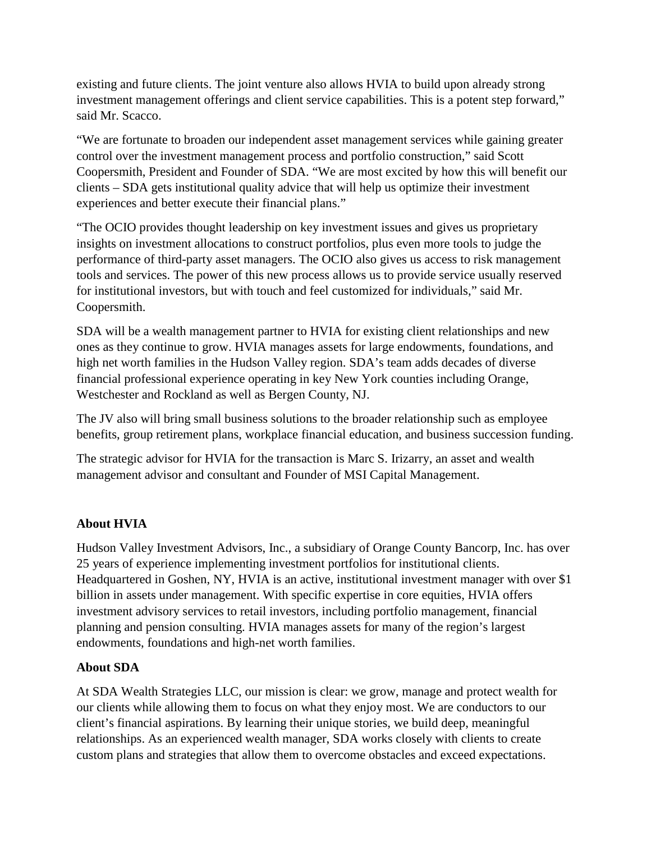existing and future clients. The joint venture also allows HVIA to build upon already strong investment management offerings and client service capabilities. This is a potent step forward," said Mr. Scacco.

"We are fortunate to broaden our independent asset management services while gaining greater control over the investment management process and portfolio construction," said Scott Coopersmith, President and Founder of SDA. "We are most excited by how this will benefit our clients – SDA gets institutional quality advice that will help us optimize their investment experiences and better execute their financial plans."

"The OCIO provides thought leadership on key investment issues and gives us proprietary insights on investment allocations to construct portfolios, plus even more tools to judge the performance of third-party asset managers. The OCIO also gives us access to risk management tools and services. The power of this new process allows us to provide service usually reserved for institutional investors, but with touch and feel customized for individuals," said Mr. Coopersmith.

SDA will be a wealth management partner to HVIA for existing client relationships and new ones as they continue to grow. HVIA manages assets for large endowments, foundations, and high net worth families in the Hudson Valley region. SDA's team adds decades of diverse financial professional experience operating in key New York counties including Orange, Westchester and Rockland as well as Bergen County, NJ.

The JV also will bring small business solutions to the broader relationship such as employee benefits, group retirement plans, workplace financial education, and business succession funding.

The strategic advisor for HVIA for the transaction is Marc S. Irizarry, an asset and wealth management advisor and consultant and Founder of MSI Capital Management.

# **About HVIA**

Hudson Valley Investment Advisors, Inc., a subsidiary of Orange County Bancorp, Inc. has over 25 years of experience implementing investment portfolios for institutional clients. Headquartered in Goshen, NY, HVIA is an active, institutional investment manager with over \$1 billion in assets under management. With specific expertise in core equities, HVIA offers investment advisory services to retail investors, including portfolio management, financial planning and pension consulting. HVIA manages assets for many of the region's largest endowments, foundations and high-net worth families.

## **About SDA**

At SDA Wealth Strategies LLC, our mission is clear: we grow, manage and protect wealth for our clients while allowing them to focus on what they enjoy most. We are conductors to our client's financial aspirations. By learning their unique stories, we build deep, meaningful relationships. As an experienced wealth manager, SDA works closely with clients to create custom plans and strategies that allow them to overcome obstacles and exceed expectations.